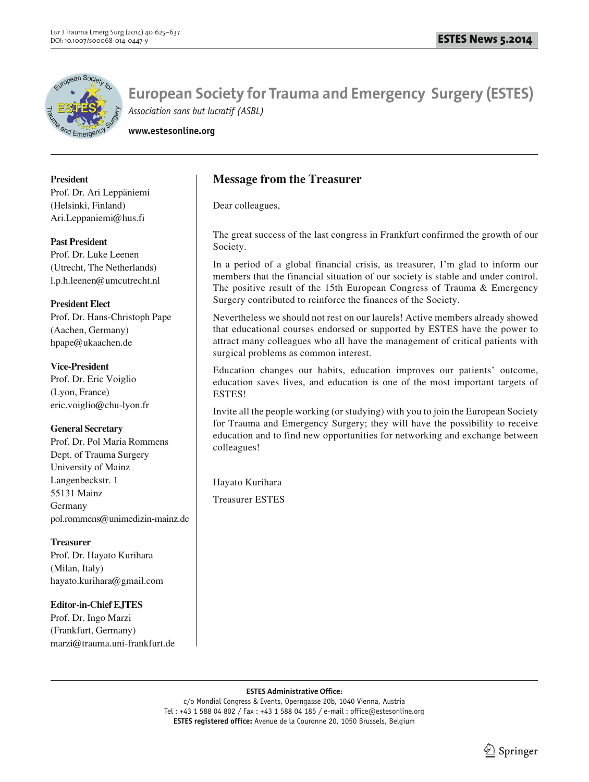

**www.estesonline.org**

**President** 

Prof. Dr. Ari Leppäniemi (Helsinki, Finland) Ari.Leppaniemi@hus.fi

## **Past President**

Prof. Dr. Luke Leenen (Utrecht, The Netherlands) l.p.h.leenen@umcutrecht.nl

## **President Elect**

Prof. Dr. Hans-Christoph Pape (Aachen, Germany) hpape@ukaachen.de

## **Vice-President**

Prof. Dr. Eric Voiglio (Lyon, France) eric.voiglio@chu-lyon.fr

# **General Secretary**

Prof. Dr. Pol Maria Rommens Dept. of Trauma Surgery University of Mainz Langenbeckstr. 1 55131 Mainz Germany pol.rommens@unimedizin-mainz.de

# **Treasurer**

Prof. Dr. Hayato Kurihara (Milan, Italy) hayato.kurihara@gmail.com

# **Editor-in-Chief EJTES**

Prof. Dr. Ingo Marzi (Frankfurt, Germany) marzi@trauma.uni-frankfurt.de

# **Message from the Treasurer**

Dear colleagues,

The great success of the last congress in Frankfurt confirmed the growth of our Society.

In a period of a global financial crisis, as treasurer, I'm glad to inform our members that the financial situation of our society is stable and under control. The positive result of the 15th European Congress of Trauma & Emergency Surgery contributed to reinforce the finances of the Society.

Nevertheless we should not rest on our laurels! Active members already showed that educational courses endorsed or supported by ESTES have the power to attract many colleagues who all have the management of critical patients with surgical problems as common interest.

Education changes our habits, education improves our patients' outcome, education saves lives, and education is one of the most important targets of ESTES!

Invite all the people working (or studying) with you to join the European Society for Trauma and Emergency Surgery; they will have the possibility to receive education and to find new opportunities for networking and exchange between colleagues!

Hayato Kurihara

Treasurer ESTES

#### **ESTES Administrative Office:**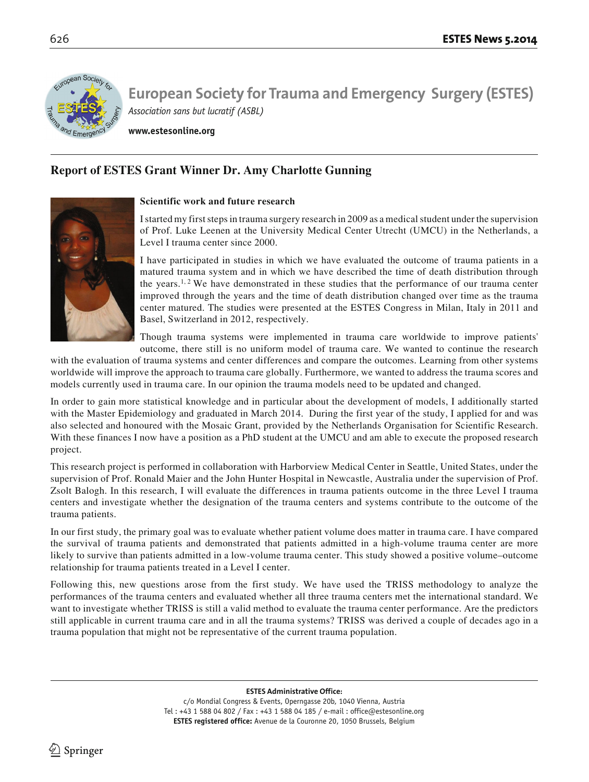

**www.estesonline.org**

# **Report of ESTES Grant Winner Dr. Amy Charlotte Gunning**



### **Scientific work and future research**

I started my first steps in trauma surgery research in 2009 as a medical student under the supervision of Prof. Luke Leenen at the University Medical Center Utrecht (UMCU) in the Netherlands, a Level I trauma center since 2000.

I have participated in studies in which we have evaluated the outcome of trauma patients in a matured trauma system and in which we have described the time of death distribution through the years.<sup>1, 2</sup> We have demonstrated in these studies that the performance of our trauma center improved through the years and the time of death distribution changed over time as the trauma center matured. The studies were presented at the ESTES Congress in Milan, Italy in 2011 and Basel, Switzerland in 2012, respectively.

Though trauma systems were implemented in trauma care worldwide to improve patients' outcome, there still is no uniform model of trauma care. We wanted to continue the research

with the evaluation of trauma systems and center differences and compare the outcomes. Learning from other systems worldwide will improve the approach to trauma care globally. Furthermore, we wanted to address the trauma scores and models currently used in trauma care. In our opinion the trauma models need to be updated and changed.

In order to gain more statistical knowledge and in particular about the development of models, I additionally started with the Master Epidemiology and graduated in March 2014. During the first year of the study, I applied for and was also selected and honoured with the Mosaic Grant, provided by the Netherlands Organisation for Scientific Research. With these finances I now have a position as a PhD student at the UMCU and am able to execute the proposed research project.

This research project is performed in collaboration with Harborview Medical Center in Seattle, United States, under the supervision of Prof. Ronald Maier and the John Hunter Hospital in Newcastle, Australia under the supervision of Prof. Zsolt Balogh. In this research, I will evaluate the differences in trauma patients outcome in the three Level I trauma centers and investigate whether the designation of the trauma centers and systems contribute to the outcome of the trauma patients.

In our first study, the primary goal was to evaluate whether patient volume does matter in trauma care. I have compared the survival of trauma patients and demonstrated that patients admitted in a high-volume trauma center are more likely to survive than patients admitted in a low-volume trauma center. This study showed a positive volume–outcome relationship for trauma patients treated in a Level I center.

Following this, new questions arose from the first study. We have used the TRISS methodology to analyze the performances of the trauma centers and evaluated whether all three trauma centers met the international standard. We want to investigate whether TRISS is still a valid method to evaluate the trauma center performance. Are the predictors still applicable in current trauma care and in all the trauma systems? TRISS was derived a couple of decades ago in a trauma population that might not be representative of the current trauma population.

**ESTES Administrative Office:**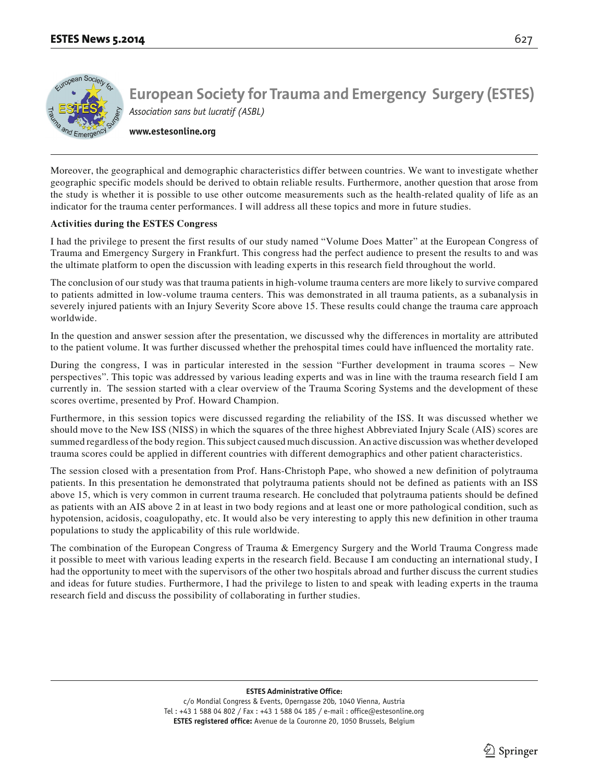**www.estesonline.org**

Moreover, the geographical and demographic characteristics differ between countries. We want to investigate whether geographic specific models should be derived to obtain reliable results. Furthermore, another question that arose from the study is whether it is possible to use other outcome measurements such as the health-related quality of life as an indicator for the trauma center performances. I will address all these topics and more in future studies.

### **Activities during the ESTES Congress**

I had the privilege to present the first results of our study named "Volume Does Matter" at the European Congress of Trauma and Emergency Surgery in Frankfurt. This congress had the perfect audience to present the results to and was the ultimate platform to open the discussion with leading experts in this research field throughout the world.

The conclusion of our study was that trauma patients in high-volume trauma centers are more likely to survive compared to patients admitted in low-volume trauma centers. This was demonstrated in all trauma patients, as a subanalysis in severely injured patients with an Injury Severity Score above 15. These results could change the trauma care approach worldwide.

In the question and answer session after the presentation, we discussed why the differences in mortality are attributed to the patient volume. It was further discussed whether the prehospital times could have influenced the mortality rate.

During the congress, I was in particular interested in the session "Further development in trauma scores – New perspectives". This topic was addressed by various leading experts and was in line with the trauma research field I am currently in. The session started with a clear overview of the Trauma Scoring Systems and the development of these scores overtime, presented by Prof. Howard Champion.

Furthermore, in this session topics were discussed regarding the reliability of the ISS. It was discussed whether we should move to the New ISS (NISS) in which the squares of the three highest Abbreviated Injury Scale (AIS) scores are summed regardless of the body region. This subject caused much discussion. An active discussion was whether developed trauma scores could be applied in different countries with different demographics and other patient characteristics.

The session closed with a presentation from Prof. Hans-Christoph Pape, who showed a new definition of polytrauma patients. In this presentation he demonstrated that polytrauma patients should not be defined as patients with an ISS above 15, which is very common in current trauma research. He concluded that polytrauma patients should be defined as patients with an AIS above 2 in at least in two body regions and at least one or more pathological condition, such as hypotension, acidosis, coagulopathy, etc. It would also be very interesting to apply this new definition in other trauma populations to study the applicability of this rule worldwide.

The combination of the European Congress of Trauma & Emergency Surgery and the World Trauma Congress made it possible to meet with various leading experts in the research field. Because I am conducting an international study, I had the opportunity to meet with the supervisors of the other two hospitals abroad and further discuss the current studies and ideas for future studies. Furthermore, I had the privilege to listen to and speak with leading experts in the trauma research field and discuss the possibility of collaborating in further studies.

#### **ESTES Administrative Office:**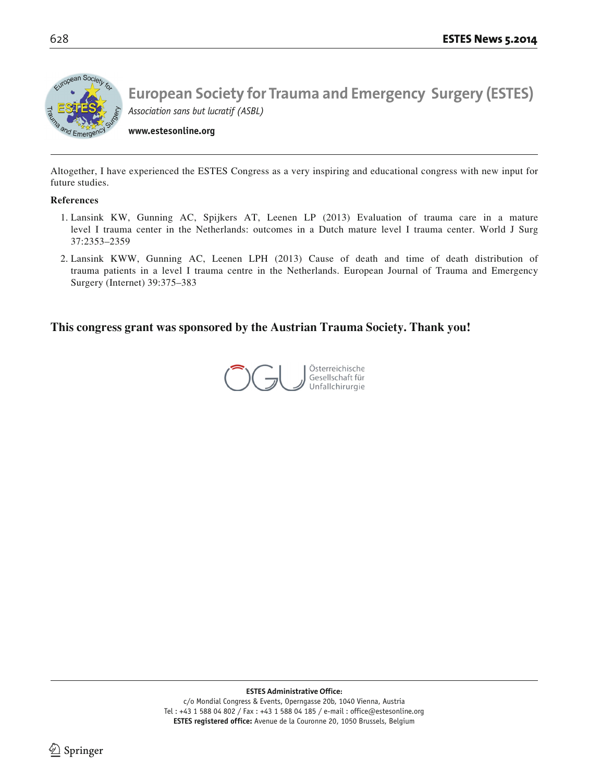

**www.estesonline.org**

Altogether, I have experienced the ESTES Congress as a very inspiring and educational congress with new input for future studies.

### **References**

- 1. Lansink KW, Gunning AC, Spijkers AT, Leenen LP (2013) Evaluation of trauma care in a mature level I trauma center in the Netherlands: outcomes in a Dutch mature level I trauma center. World J Surg 37:2353–2359
- 2. Lansink KWW, Gunning AC, Leenen LPH (2013) Cause of death and time of death distribution of trauma patients in a level I trauma centre in the Netherlands. European Journal of Trauma and Emergency Surgery (Internet) 39:375–383

# **This congress grant was sponsored by the Austrian Trauma Society. Thank you!**

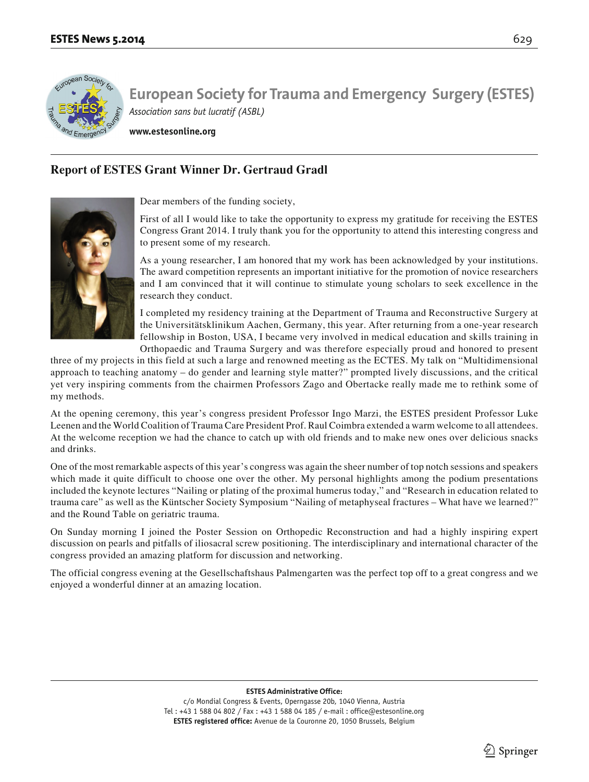

**www.estesonline.org**

# **Report of ESTES Grant Winner Dr. Gertraud Gradl**



Dear members of the funding society,

First of all I would like to take the opportunity to express my gratitude for receiving the ESTES Congress Grant 2014. I truly thank you for the opportunity to attend this interesting congress and to present some of my research.

As a young researcher, I am honored that my work has been acknowledged by your institutions. The award competition represents an important initiative for the promotion of novice researchers and I am convinced that it will continue to stimulate young scholars to seek excellence in the research they conduct.

I completed my residency training at the Department of Trauma and Reconstructive Surgery at the Universitätsklinikum Aachen, Germany, this year. After returning from a one-year research fellowship in Boston, USA, I became very involved in medical education and skills training in Orthopaedic and Trauma Surgery and was therefore especially proud and honored to present

three of my projects in this field at such a large and renowned meeting as the ECTES. My talk on "Multidimensional approach to teaching anatomy – do gender and learning style matter?" prompted lively discussions, and the critical yet very inspiring comments from the chairmen Professors Zago and Obertacke really made me to rethink some of my methods.

At the opening ceremony, this year's congress president Professor Ingo Marzi, the ESTES president Professor Luke Leenen and the World Coalition of Trauma Care President Prof. Raul Coimbra extended a warm welcome to all attendees. At the welcome reception we had the chance to catch up with old friends and to make new ones over delicious snacks and drinks.

One of the most remarkable aspects of this year's congress was again the sheer number of top notch sessions and speakers which made it quite difficult to choose one over the other. My personal highlights among the podium presentations included the keynote lectures "Nailing or plating of the proximal humerus today," and "Research in education related to trauma care" as well as the Küntscher Society Symposium "Nailing of metaphyseal fractures – What have we learned?" and the Round Table on geriatric trauma.

On Sunday morning I joined the Poster Session on Orthopedic Reconstruction and had a highly inspiring expert discussion on pearls and pitfalls of iliosacral screw positioning. The interdisciplinary and international character of the congress provided an amazing platform for discussion and networking.

The official congress evening at the Gesellschaftshaus Palmengarten was the perfect top off to a great congress and we enjoyed a wonderful dinner at an amazing location.

#### **ESTES Administrative Office:**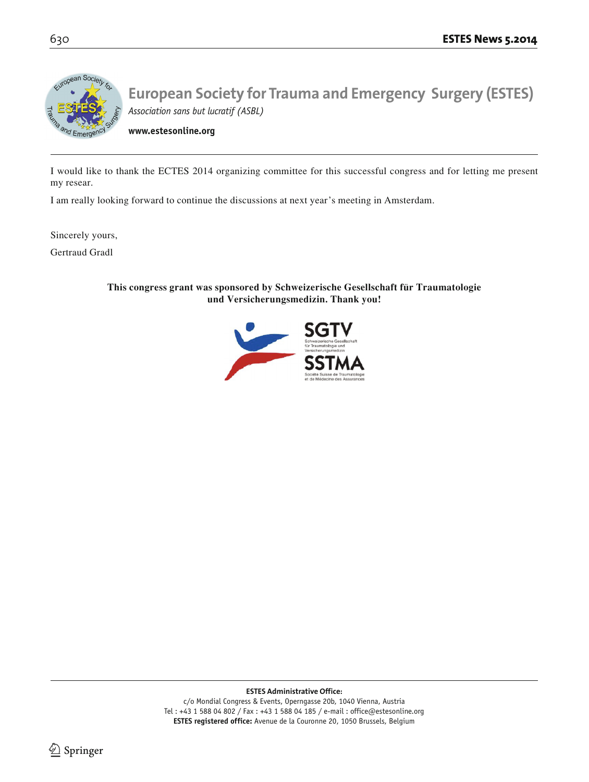

**www.estesonline.org**

I would like to thank the ECTES 2014 organizing committee for this successful congress and for letting me present my resear.

I am really looking forward to continue the discussions at next year's meeting in Amsterdam.

Sincerely yours,

Gertraud Gradl

**This congress grant was sponsored by Schweizerische Gesellschaft für Traumatologie und Versicherungsmedizin. Thank you!**



**ESTES Administrative Office:**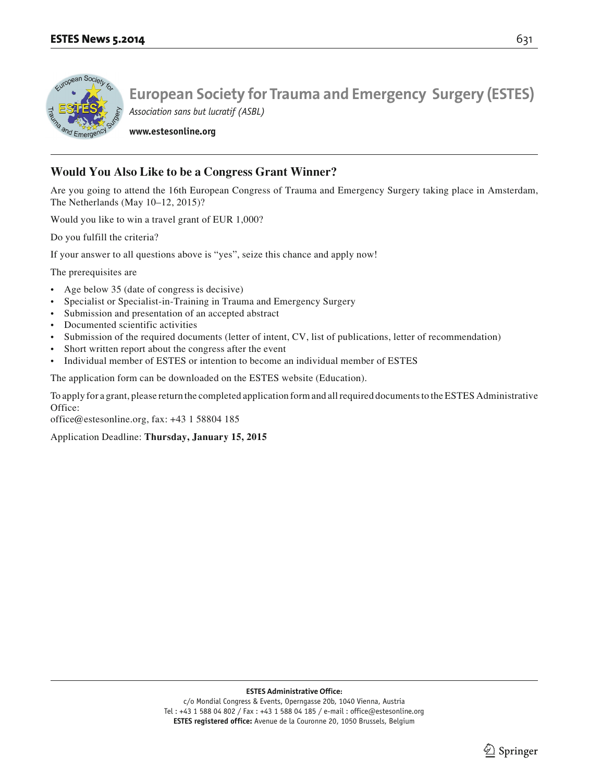

**www.estesonline.org**

# **Would You Also Like to be a Congress Grant Winner?**

Are you going to attend the 16th European Congress of Trauma and Emergency Surgery taking place in Amsterdam, The Netherlands (May 10–12, 2015)?

Would you like to win a travel grant of EUR 1,000?

Do you fulfill the criteria?

If your answer to all questions above is "yes", seize this chance and apply now!

The prerequisites are

- Age below 35 (date of congress is decisive)
- Specialist or Specialist-in-Training in Trauma and Emergency Surgery
- Submission and presentation of an accepted abstract
- Documented scientific activities
- Submission of the required documents (letter of intent, CV, list of publications, letter of recommendation)
- Short written report about the congress after the event
- Individual member of ESTES or intention to become an individual member of ESTES

The application form can be downloaded on the ESTES website (Education).

To apply for a grant, please return the completed application form and all required documents to the ESTES Administrative Office:

office@estesonline.org, fax: +43 1 58804 185

Application Deadline: **Thursday, January 15, 2015**

**ESTES Administrative Office:**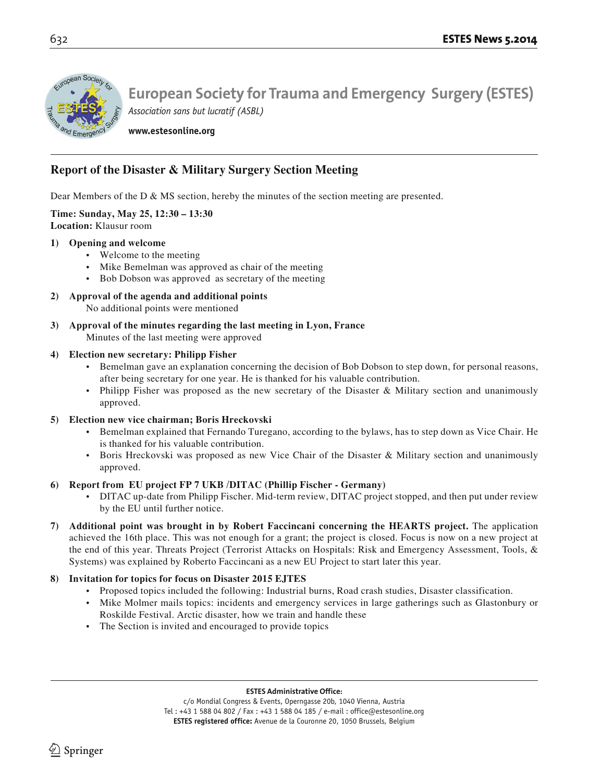

**www.estesonline.org**

# **Report of the Disaster & Military Surgery Section Meeting**

Dear Members of the D & MS section, hereby the minutes of the section meeting are presented.

**Time: Sunday, May 25, 12:30 – 13:30 Location:** Klausur room

### **1) Opening and welcome**

- Welcome to the meeting
- Mike Bemelman was approved as chair of the meeting
- Bob Dobson was approved as secretary of the meeting
- **2) Approval of the agenda and additional points** No additional points were mentioned
- **3) Approval of the minutes regarding the last meeting in Lyon, France** Minutes of the last meeting were approved

## **4) Election new secretary: Philipp Fisher**

- Bemelman gave an explanation concerning the decision of Bob Dobson to step down, for personal reasons, after being secretary for one year. He is thanked for his valuable contribution.
- Philipp Fisher was proposed as the new secretary of the Disaster & Military section and unanimously approved.

# **5) Election new vice chairman; Boris Hreckovski**

- Bemelman explained that Fernando Turegano, according to the bylaws, has to step down as Vice Chair. He is thanked for his valuable contribution.
- Boris Hreckovski was proposed as new Vice Chair of the Disaster & Military section and unanimously approved.

# **6) Report from EU project FP 7 UKB /DITAC (Phillip Fischer - Germany)**

- DITAC up-date from Philipp Fischer. Mid-term review, DITAC project stopped, and then put under review by the EU until further notice.
- **7) Additional point was brought in by Robert Faccincani concerning the HEARTS project.** The application achieved the 16th place. This was not enough for a grant; the project is closed. Focus is now on a new project at the end of this year. Threats Project (Terrorist Attacks on Hospitals: Risk and Emergency Assessment, Tools, & Systems) was explained by Roberto Faccincani as a new EU Project to start later this year.

# **8) Invitation for topics for focus on Disaster 2015 EJTES**

- Proposed topics included the following: Industrial burns, Road crash studies, Disaster classification.
- Mike Molmer mails topics: incidents and emergency services in large gatherings such as Glastonbury or Roskilde Festival. Arctic disaster, how we train and handle these
- The Section is invited and encouraged to provide topics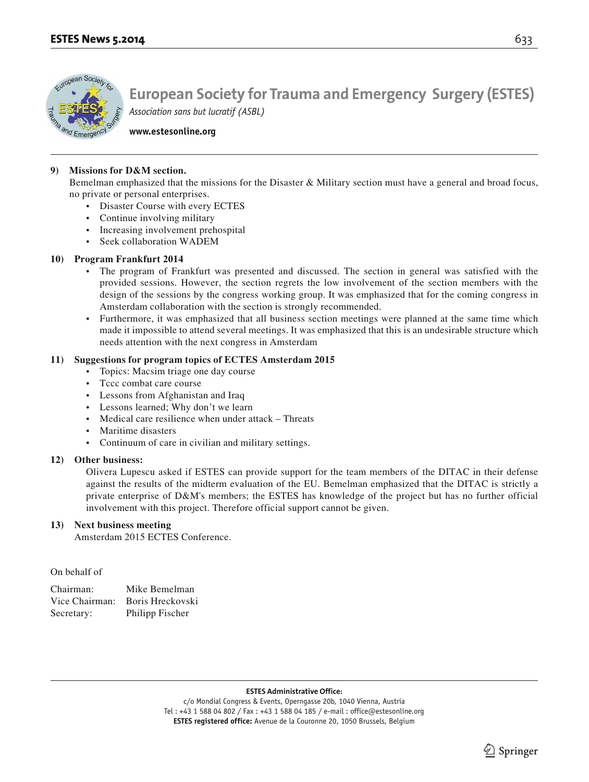

**www.estesonline.org**

### **9) Missions for D&M section.**

 Bemelman emphasized that the missions for the Disaster & Military section must have a general and broad focus, no private or personal enterprises.

- Disaster Course with every ECTES
- Continue involving military
- Increasing involvement prehospital
- Seek collaboration WADEM

### **10) Program Frankfurt 2014**

- The program of Frankfurt was presented and discussed. The section in general was satisfied with the provided sessions. However, the section regrets the low involvement of the section members with the design of the sessions by the congress working group. It was emphasized that for the coming congress in Amsterdam collaboration with the section is strongly recommended.
- Furthermore, it was emphasized that all business section meetings were planned at the same time which made it impossible to attend several meetings. It was emphasized that this is an undesirable structure which needs attention with the next congress in Amsterdam

### **11) Suggestions for program topics of ECTES Amsterdam 2015**

- Topics: Macsim triage one day course
- Tccc combat care course
- Lessons from Afghanistan and Iraq
- Lessons learned; Why don't we learn
- Medical care resilience when under attack Threats
- Maritime disasters
- Continuum of care in civilian and military settings.

### **12) Other business:**

 Olivera Lupescu asked if ESTES can provide support for the team members of the DITAC in their defense against the results of the midterm evaluation of the EU. Bemelman emphasized that the DITAC is strictly a private enterprise of D&M's members; the ESTES has knowledge of the project but has no further official involvement with this project. Therefore official support cannot be given.

### **13) Next business meeting**

Amsterdam 2015 ECTES Conference.

On behalf of

| Chairman:      | Mike Bemelman    |
|----------------|------------------|
| Vice Chairman: | Boris Hreckovski |
| Secretary:     | Philipp Fischer  |

#### **ESTES Administrative Office:**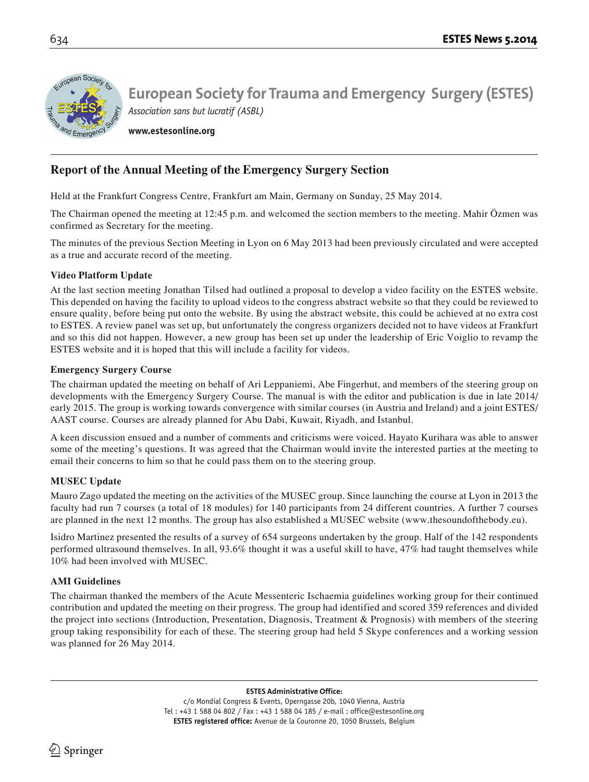

**www.estesonline.org**

# **Report of the Annual Meeting of the Emergency Surgery Section**

Held at the Frankfurt Congress Centre, Frankfurt am Main, Germany on Sunday, 25 May 2014.

The Chairman opened the meeting at 12:45 p.m. and welcomed the section members to the meeting. Mahir Özmen was confirmed as Secretary for the meeting.

The minutes of the previous Section Meeting in Lyon on 6 May 2013 had been previously circulated and were accepted as a true and accurate record of the meeting.

## **Video Platform Update**

At the last section meeting Jonathan Tilsed had outlined a proposal to develop a video facility on the ESTES website. This depended on having the facility to upload videos to the congress abstract website so that they could be reviewed to ensure quality, before being put onto the website. By using the abstract website, this could be achieved at no extra cost to ESTES. A review panel was set up, but unfortunately the congress organizers decided not to have videos at Frankfurt and so this did not happen. However, a new group has been set up under the leadership of Eric Voiglio to revamp the ESTES website and it is hoped that this will include a facility for videos.

## **Emergency Surgery Course**

The chairman updated the meeting on behalf of Ari Leppaniemi, Abe Fingerhut, and members of the steering group on developments with the Emergency Surgery Course. The manual is with the editor and publication is due in late 2014/ early 2015. The group is working towards convergence with similar courses (in Austria and Ireland) and a joint ESTES/ AAST course. Courses are already planned for Abu Dabi, Kuwait, Riyadh, and Istanbul.

A keen discussion ensued and a number of comments and criticisms were voiced. Hayato Kurihara was able to answer some of the meeting's questions. It was agreed that the Chairman would invite the interested parties at the meeting to email their concerns to him so that he could pass them on to the steering group.

# **MUSEC Update**

Mauro Zago updated the meeting on the activities of the MUSEC group. Since launching the course at Lyon in 2013 the faculty had run 7 courses (a total of 18 modules) for 140 participants from 24 different countries. A further 7 courses are planned in the next 12 months. The group has also established a MUSEC website (www.thesoundofthebody.eu).

Isidro Martinez presented the results of a survey of 654 surgeons undertaken by the group. Half of the 142 respondents performed ultrasound themselves. In all, 93.6% thought it was a useful skill to have, 47% had taught themselves while 10% had been involved with MUSEC.

# **AMI Guidelines**

The chairman thanked the members of the Acute Messenteric Ischaemia guidelines working group for their continued contribution and updated the meeting on their progress. The group had identified and scored 359 references and divided the project into sections (Introduction, Presentation, Diagnosis, Treatment & Prognosis) with members of the steering group taking responsibility for each of these. The steering group had held 5 Skype conferences and a working session was planned for 26 May 2014.

**ESTES Administrative Office:**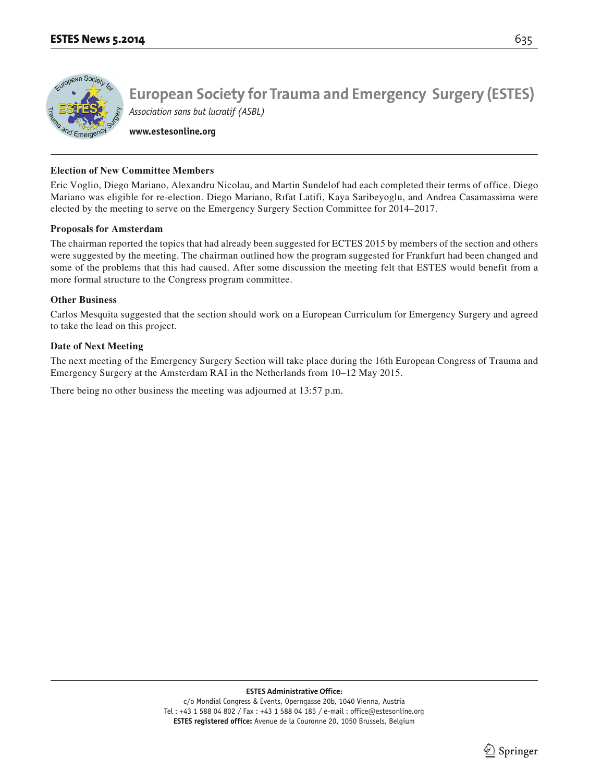

**www.estesonline.org**

### **Election of New Committee Members**

Eric Voglio, Diego Mariano, Alexandru Nicolau, and Martin Sundelof had each completed their terms of office. Diego Mariano was eligible for re-election. Diego Mariano, Rıfat Latifi, Kaya Saribeyoglu, and Andrea Casamassima were elected by the meeting to serve on the Emergency Surgery Section Committee for 2014–2017.

### **Proposals for Amsterdam**

The chairman reported the topics that had already been suggested for ECTES 2015 by members of the section and others were suggested by the meeting. The chairman outlined how the program suggested for Frankfurt had been changed and some of the problems that this had caused. After some discussion the meeting felt that ESTES would benefit from a more formal structure to the Congress program committee.

### **Other Business**

Carlos Mesquita suggested that the section should work on a European Curriculum for Emergency Surgery and agreed to take the lead on this project.

### **Date of Next Meeting**

The next meeting of the Emergency Surgery Section will take place during the 16th European Congress of Trauma and Emergency Surgery at the Amsterdam RAI in the Netherlands from 10–12 May 2015.

There being no other business the meeting was adjourned at 13:57 p.m.

**ESTES Administrative Office:**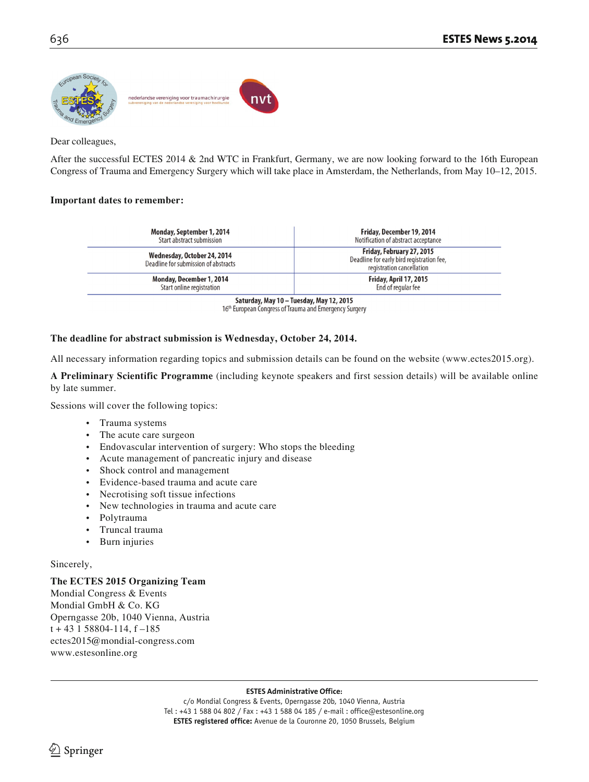

Dear colleagues,

After the successful ECTES 2014 & 2nd WTC in Frankfurt, Germany, we are now looking forward to the 16th European Congress of Trauma and Emergency Surgery which will take place in Amsterdam, the Netherlands, from May 10–12, 2015.

### **Important dates to remember:**

| Monday, September 1, 2014                                           | Friday, December 19, 2014                                                                           |
|---------------------------------------------------------------------|-----------------------------------------------------------------------------------------------------|
| Start abstract submission                                           | Notification of abstract acceptance                                                                 |
| Wednesday, October 24, 2014<br>Deadline for submission of abstracts | Friday, February 27, 2015<br>Deadline for early bird registration fee,<br>registration cancellation |
| Monday, December 1, 2014                                            | Friday, April 17, 2015                                                                              |
| Start online registration                                           | End of regular fee                                                                                  |
|                                                                     | Saturday, May 10 - Tuesday, May 12, 2015                                                            |

16<sup>th</sup> European Congress of Trauma and Emergency Surgery

# **The deadline for abstract submission is Wednesday, October 24, 2014.**

All necessary information regarding topics and submission details can be found on the website (www.ectes2015.org).

**A Preliminary Scientific Programme** (including keynote speakers and first session details) will be available online by late summer.

Sessions will cover the following topics:

- Trauma systems
- The acute care surgeon
- Endovascular intervention of surgery: Who stops the bleeding
- Acute management of pancreatic injury and disease
- Shock control and management
- Evidence-based trauma and acute care
- Necrotising soft tissue infections
- New technologies in trauma and acute care
- Polytrauma
- Truncal trauma
- Burn injuries

### Sincerely,

# **The ECTES 2015 Organizing Team**

Mondial Congress & Events Mondial GmbH & Co. KG Operngasse 20b, 1040 Vienna, Austria  $t + 43$  1 58804-114,  $f - 185$ ectes2015@mondial-congress.com www.estesonline.org

### **ESTES Administrative Office:**